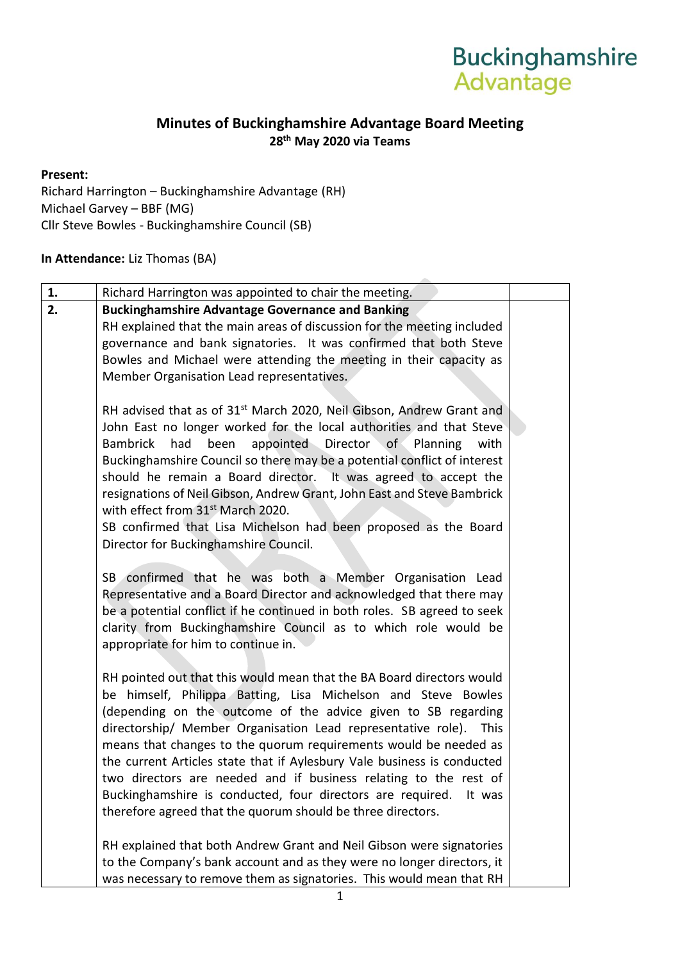## **Buckinghamshire Advantage**

## **Minutes of Buckinghamshire Advantage Board Meeting 28th May 2020 via Teams**

### **Present:**

Richard Harrington – Buckinghamshire Advantage (RH) Michael Garvey – BBF (MG) Cllr Steve Bowles - Buckinghamshire Council (SB)

### **In Attendance:** Liz Thomas (BA)

| 1. | Richard Harrington was appointed to chair the meeting.                                                                                 |  |
|----|----------------------------------------------------------------------------------------------------------------------------------------|--|
| 2. | <b>Buckinghamshire Advantage Governance and Banking</b>                                                                                |  |
|    | RH explained that the main areas of discussion for the meeting included                                                                |  |
|    | governance and bank signatories. It was confirmed that both Steve                                                                      |  |
|    | Bowles and Michael were attending the meeting in their capacity as                                                                     |  |
|    | Member Organisation Lead representatives.                                                                                              |  |
|    | RH advised that as of 31 <sup>st</sup> March 2020, Neil Gibson, Andrew Grant and                                                       |  |
|    | John East no longer worked for the local authorities and that Steve                                                                    |  |
|    | appointed Director of Planning<br><b>Bambrick</b><br>had<br>been<br>with                                                               |  |
|    | Buckinghamshire Council so there may be a potential conflict of interest                                                               |  |
|    | should he remain a Board director. It was agreed to accept the                                                                         |  |
|    | resignations of Neil Gibson, Andrew Grant, John East and Steve Bambrick<br>with effect from 31 <sup>st</sup> March 2020.               |  |
|    | SB confirmed that Lisa Michelson had been proposed as the Board                                                                        |  |
|    | Director for Buckinghamshire Council.                                                                                                  |  |
|    |                                                                                                                                        |  |
|    | SB confirmed that he was both a Member Organisation Lead                                                                               |  |
|    | Representative and a Board Director and acknowledged that there may                                                                    |  |
|    | be a potential conflict if he continued in both roles. SB agreed to seek                                                               |  |
|    | clarity from Buckinghamshire Council as to which role would be                                                                         |  |
|    | appropriate for him to continue in.                                                                                                    |  |
|    |                                                                                                                                        |  |
|    | RH pointed out that this would mean that the BA Board directors would<br>be himself, Philippa Batting, Lisa Michelson and Steve Bowles |  |
|    | (depending on the outcome of the advice given to SB regarding                                                                          |  |
|    | directorship/ Member Organisation Lead representative role). This                                                                      |  |
|    | means that changes to the quorum requirements would be needed as                                                                       |  |
|    | the current Articles state that if Aylesbury Vale business is conducted                                                                |  |
|    | two directors are needed and if business relating to the rest of                                                                       |  |
|    | Buckinghamshire is conducted, four directors are required. It was                                                                      |  |
|    | therefore agreed that the quorum should be three directors.                                                                            |  |
|    |                                                                                                                                        |  |
|    | RH explained that both Andrew Grant and Neil Gibson were signatories                                                                   |  |
|    | to the Company's bank account and as they were no longer directors, it                                                                 |  |
|    | was necessary to remove them as signatories. This would mean that RH                                                                   |  |